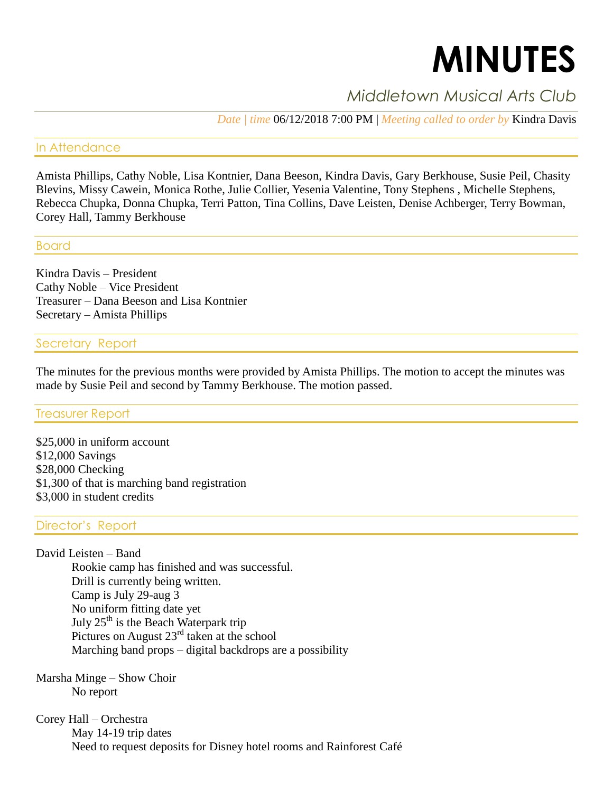# **MINUTES**

# *Middletown Musical Arts Club*

*Date | time* 06/12/2018 7:00 PM | *Meeting called to order by* Kindra Davis

### In Attendance

Amista Phillips, Cathy Noble, Lisa Kontnier, Dana Beeson, Kindra Davis, Gary Berkhouse, Susie Peil, Chasity Blevins, Missy Cawein, Monica Rothe, Julie Collier, Yesenia Valentine, Tony Stephens , Michelle Stephens, Rebecca Chupka, Donna Chupka, Terri Patton, Tina Collins, Dave Leisten, Denise Achberger, Terry Bowman, Corey Hall, Tammy Berkhouse

#### Board

Kindra Davis – President Cathy Noble – Vice President Treasurer – Dana Beeson and Lisa Kontnier Secretary – Amista Phillips

# Secretary Report

The minutes for the previous months were provided by Amista Phillips. The motion to accept the minutes was made by Susie Peil and second by Tammy Berkhouse. The motion passed.

#### Treasurer Report

\$25,000 in uniform account \$12,000 Savings \$28,000 Checking \$1,300 of that is marching band registration \$3,000 in student credits

# Director's Report

David Leisten – Band Rookie camp has finished and was successful. Drill is currently being written. Camp is July 29-aug 3 No uniform fitting date yet July  $25<sup>th</sup>$  is the Beach Waterpark trip Pictures on August  $23<sup>rd</sup>$  taken at the school Marching band props – digital backdrops are a possibility

Marsha Minge – Show Choir No report

Corey Hall – Orchestra May 14-19 trip dates Need to request deposits for Disney hotel rooms and Rainforest Café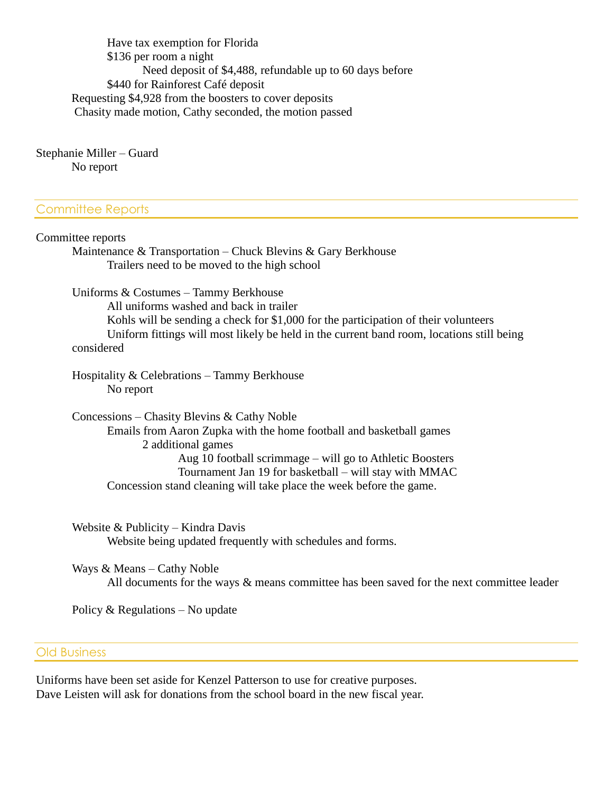Have tax exemption for Florida \$136 per room a night Need deposit of \$4,488, refundable up to 60 days before \$440 for Rainforest Café deposit Requesting \$4,928 from the boosters to cover deposits Chasity made motion, Cathy seconded, the motion passed

Stephanie Miller – Guard No report

# Committee Reports

Committee reports Maintenance & Transportation – Chuck Blevins & Gary Berkhouse Trailers need to be moved to the high school Uniforms & Costumes – Tammy Berkhouse All uniforms washed and back in trailer Kohls will be sending a check for \$1,000 for the participation of their volunteers Uniform fittings will most likely be held in the current band room, locations still being considered Hospitality & Celebrations – Tammy Berkhouse No report

Concessions – Chasity Blevins & Cathy Noble

Emails from Aaron Zupka with the home football and basketball games 2 additional games Aug 10 football scrimmage – will go to Athletic Boosters Tournament Jan 19 for basketball – will stay with MMAC Concession stand cleaning will take place the week before the game.

Website & Publicity – Kindra Davis Website being updated frequently with schedules and forms.

Ways & Means – Cathy Noble All documents for the ways & means committee has been saved for the next committee leader

Policy & Regulations – No update

# Old Business

Uniforms have been set aside for Kenzel Patterson to use for creative purposes. Dave Leisten will ask for donations from the school board in the new fiscal year.